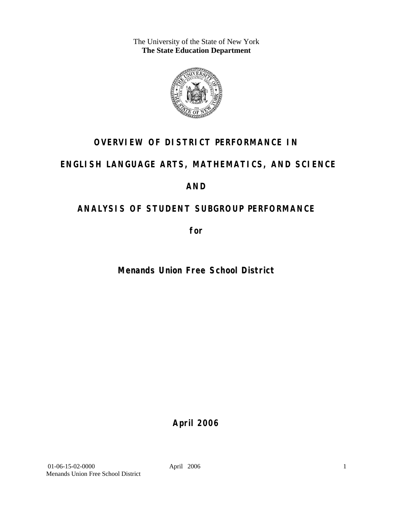The University of the State of New York **The State Education Department** 



## **OVERVIEW OF DISTRICT PERFORMANCE IN**

## **ENGLISH LANGUAGE ARTS, MATHEMATICS, AND SCIENCE**

## **AND**

## **ANALYSIS OF STUDENT SUBGROUP PERFORMANCE**

**for** 

**Menands Union Free School District**

**April 2006**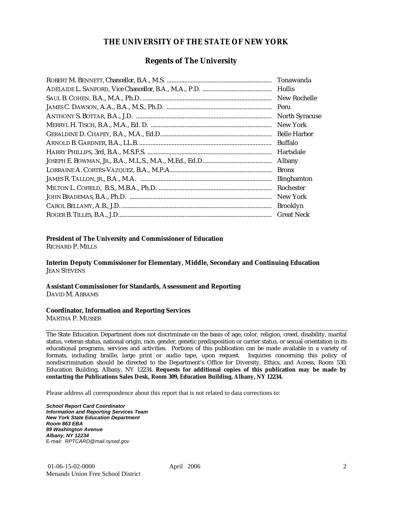#### **THE UNIVERSITY OF THE STATE OF NEW YORK**

#### **Regents of The University**

| Peru                  |
|-----------------------|
| <b>North Syracuse</b> |
| New York              |
| <b>Belle Harbor</b>   |
| Buffalo               |
| Hartsdale             |
| Albany                |
| <b>Bronx</b>          |
| <b>Binghamton</b>     |
| Rochester             |
| New York              |
| <b>Brooklyn</b>       |
| <b>Great Neck</b>     |

#### **President of The University and Commissioner of Education**

RICHARD P. MILLS

**Interim Deputy Commissioner for Elementary, Middle, Secondary and Continuing Education**  JEAN STEVENS

#### **Assistant Commissioner for Standards, Assessment and Reporting**  DAVID M. ABRAMS

#### **Coordinator, Information and Reporting Services**

MARTHA P. MUSSER

The State Education Department does not discriminate on the basis of age, color, religion, creed, disability, marital status, veteran status, national origin, race, gender, genetic predisposition or carrier status, or sexual orientation in its educational programs, services and activities. Portions of this publication can be made available in a variety of formats, including braille, large print or audio tape, upon request. Inquiries concerning this policy of nondiscrimination should be directed to the Department's Office for Diversity, Ethics, and Access, Room 530, Education Building, Albany, NY 12234. **Requests for additional copies of this publication may be made by contacting the Publications Sales Desk, Room 309, Education Building, Albany, NY 12234.** 

Please address all correspondence about this report that is not related to data corrections to:

*School Report Card Coordinator Information and Reporting Services Team New York State Education Department Room 863 EBA 89 Washington Avenue Albany, NY 12234*  E-mail: *RPTCARD@mail.nysed.gov*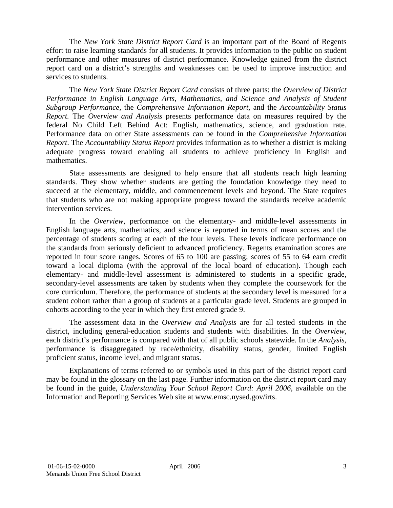The *New York State District Report Card* is an important part of the Board of Regents effort to raise learning standards for all students. It provides information to the public on student performance and other measures of district performance. Knowledge gained from the district report card on a district's strengths and weaknesses can be used to improve instruction and services to students.

The *New York State District Report Card* consists of three parts: the *Overview of District Performance in English Language Arts, Mathematics, and Science and Analysis of Student Subgroup Performance,* the *Comprehensive Information Report,* and the *Accountability Status Report.* The *Overview and Analysis* presents performance data on measures required by the federal No Child Left Behind Act: English, mathematics, science, and graduation rate. Performance data on other State assessments can be found in the *Comprehensive Information Report*. The *Accountability Status Report* provides information as to whether a district is making adequate progress toward enabling all students to achieve proficiency in English and mathematics.

State assessments are designed to help ensure that all students reach high learning standards. They show whether students are getting the foundation knowledge they need to succeed at the elementary, middle, and commencement levels and beyond. The State requires that students who are not making appropriate progress toward the standards receive academic intervention services.

In the *Overview*, performance on the elementary- and middle-level assessments in English language arts, mathematics, and science is reported in terms of mean scores and the percentage of students scoring at each of the four levels. These levels indicate performance on the standards from seriously deficient to advanced proficiency. Regents examination scores are reported in four score ranges. Scores of 65 to 100 are passing; scores of 55 to 64 earn credit toward a local diploma (with the approval of the local board of education). Though each elementary- and middle-level assessment is administered to students in a specific grade, secondary-level assessments are taken by students when they complete the coursework for the core curriculum. Therefore, the performance of students at the secondary level is measured for a student cohort rather than a group of students at a particular grade level. Students are grouped in cohorts according to the year in which they first entered grade 9.

The assessment data in the *Overview and Analysis* are for all tested students in the district, including general-education students and students with disabilities. In the *Overview*, each district's performance is compared with that of all public schools statewide. In the *Analysis*, performance is disaggregated by race/ethnicity, disability status, gender, limited English proficient status, income level, and migrant status.

Explanations of terms referred to or symbols used in this part of the district report card may be found in the glossary on the last page. Further information on the district report card may be found in the guide, *Understanding Your School Report Card: April 2006*, available on the Information and Reporting Services Web site at www.emsc.nysed.gov/irts.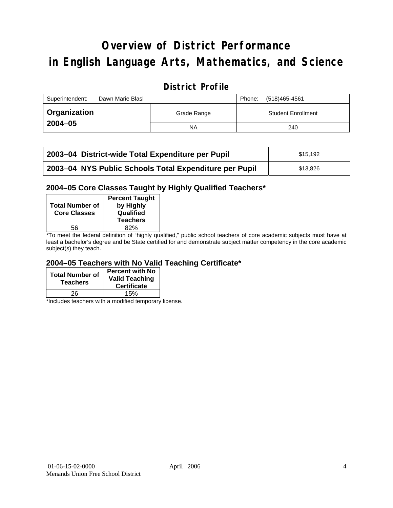# **Overview of District Performance in English Language Arts, Mathematics, and Science**

### **District Profile**

| Superintendent: | Dawn Marie Blasl |             | Phone: | (518)465-4561             |
|-----------------|------------------|-------------|--------|---------------------------|
| Organization    |                  | Grade Range |        | <b>Student Enrollment</b> |
| $2004 - 05$     |                  | NA          |        | 240                       |

| 2003–04 District-wide Total Expenditure per Pupil      | \$15.192 |
|--------------------------------------------------------|----------|
| 2003-04 NYS Public Schools Total Expenditure per Pupil | \$13,826 |

#### **2004–05 Core Classes Taught by Highly Qualified Teachers\***

| <b>Total Number of</b><br><b>Core Classes</b> | <b>Percent Taught</b><br>by Highly<br>Qualified<br><b>Teachers</b> |
|-----------------------------------------------|--------------------------------------------------------------------|
| 56                                            | 82%                                                                |
| . .                                           | .                                                                  |

\*To meet the federal definition of "highly qualified," public school teachers of core academic subjects must have at least a bachelor's degree and be State certified for and demonstrate subject matter competency in the core academic subject(s) they teach.

#### **2004–05 Teachers with No Valid Teaching Certificate\***

| <b>Total Number of</b><br><b>Teachers</b> | <b>Percent with No</b><br><b>Valid Teaching</b><br><b>Certificate</b> |
|-------------------------------------------|-----------------------------------------------------------------------|
| 26                                        | 15%                                                                   |

\*Includes teachers with a modified temporary license.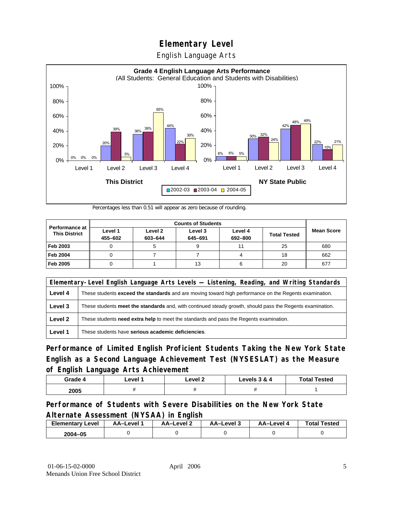English Language Arts



Percentages less than 0.51 will appear as zero because of rounding.

| <b>Counts of Students</b>                     |                    |                    |                    |                    |                     |                   |
|-----------------------------------------------|--------------------|--------------------|--------------------|--------------------|---------------------|-------------------|
| <b>Performance at</b><br><b>This District</b> | Level 1<br>455-602 | Level 2<br>603-644 | Level 3<br>645-691 | Level 4<br>692-800 | <b>Total Tested</b> | <b>Mean Score</b> |
| Feb 2003                                      |                    |                    |                    | 11                 | 25                  | 680               |
| <b>Feb 2004</b>                               |                    |                    |                    |                    | 18                  | 662               |
| Feb 2005                                      |                    |                    | 13                 |                    | 20                  | 677               |

|         | Elementary-Level English Language Arts Levels — Listening, Reading, and Writing Standards                     |  |  |  |  |
|---------|---------------------------------------------------------------------------------------------------------------|--|--|--|--|
| Level 4 | These students <b>exceed the standards</b> and are moving toward high performance on the Regents examination. |  |  |  |  |
| Level 3 | These students meet the standards and, with continued steady growth, should pass the Regents examination.     |  |  |  |  |
| Level 2 | These students need extra help to meet the standards and pass the Regents examination.                        |  |  |  |  |
| Level 1 | These students have serious academic deficiencies.                                                            |  |  |  |  |

**Performance of Limited English Proficient Students Taking the New York State English as a Second Language Achievement Test (NYSESLAT) as the Measure of English Language Arts Achievement**

| Grade 4 | Level | Level 2 | Levels 3 & 4 | <b>Total Tested</b> |  |
|---------|-------|---------|--------------|---------------------|--|
| 2005    |       |         |              |                     |  |

#### **Performance of Students with Severe Disabilities on the New York State Alternate Assessment (NYSAA) in English**

| <b>Elementary Level</b> | AA-Level | <b>AA-Level 2</b> | AA-Level 3 | AA–Level | <b>Total Tested</b> |
|-------------------------|----------|-------------------|------------|----------|---------------------|
| 2004-05                 |          |                   |            |          |                     |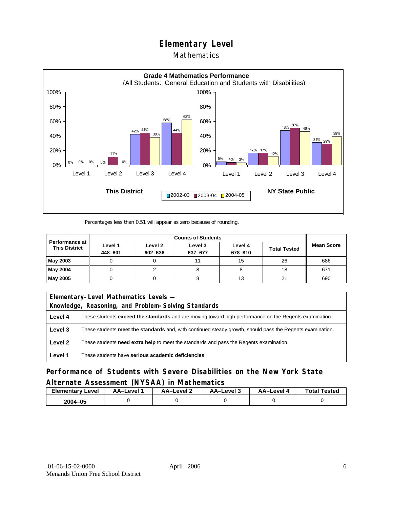#### Mathematics



Percentages less than 0.51 will appear as zero because of rounding.

| Performance at<br><b>This District</b> | Level 1<br>448-601 | Level 2<br>602-636 | Level 3<br>637-677 | Level 4<br>678-810 | <b>Total Tested</b> | <b>Mean Score</b> |
|----------------------------------------|--------------------|--------------------|--------------------|--------------------|---------------------|-------------------|
| May 2003                               |                    |                    |                    | 15                 | 26                  | 686               |
| May 2004                               |                    |                    |                    |                    | 18                  | 671               |
| May 2005                               |                    |                    |                    | 13                 | 21                  | 690               |

| Elementary-Level Mathematics Levels - |                                                                                                           |  |  |  |  |
|---------------------------------------|-----------------------------------------------------------------------------------------------------------|--|--|--|--|
|                                       | Knowledge, Reasoning, and Problem-Solving Standards                                                       |  |  |  |  |
| Level 4                               | These students exceed the standards and are moving toward high performance on the Regents examination.    |  |  |  |  |
| Level 3                               | These students meet the standards and, with continued steady growth, should pass the Regents examination. |  |  |  |  |
| Level 2                               | These students <b>need extra help</b> to meet the standards and pass the Regents examination.             |  |  |  |  |
| Level 1                               | These students have serious academic deficiencies.                                                        |  |  |  |  |

**Performance of Students with Severe Disabilities on the New York State Alternate Assessment (NYSAA) in Mathematics** 

| <b>Elementary</b><br>Level | AA-Level | – AA–Level ∠ | د AA–Level | AA–Level 4 | <b>Total Tested</b> |
|----------------------------|----------|--------------|------------|------------|---------------------|
| 2004-05                    |          |              |            |            |                     |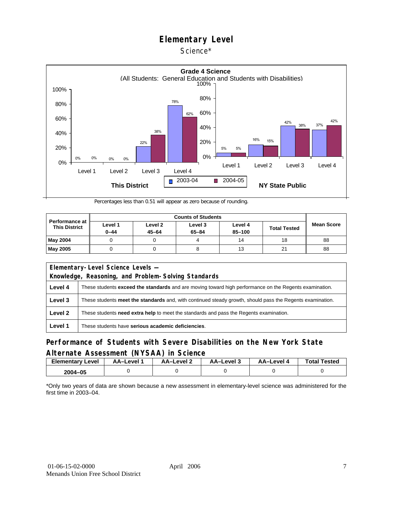#### Science\*



Percentages less than 0.51 will appear as zero because of rounding.

| <b>Performance at</b><br><b>This District</b> | Level 1<br>$0 - 44$ | Level 2<br>$45 - 64$ | Level 3<br>$65 - 84$ | Level 4<br>$85 - 100$ | <b>Total Tested</b> | <b>Mean Score</b> |
|-----------------------------------------------|---------------------|----------------------|----------------------|-----------------------|---------------------|-------------------|
| <b>May 2004</b>                               |                     |                      |                      | 14                    | 18                  | 88                |
| <b>May 2005</b>                               |                     |                      |                      | 13                    | 21                  | 88                |

| Elementary-Level Science Levels -                   |                                                                                                               |  |  |  |  |
|-----------------------------------------------------|---------------------------------------------------------------------------------------------------------------|--|--|--|--|
| Knowledge, Reasoning, and Problem-Solving Standards |                                                                                                               |  |  |  |  |
| Level 4                                             | These students <b>exceed the standards</b> and are moving toward high performance on the Regents examination. |  |  |  |  |
| Level 3                                             | These students meet the standards and, with continued steady growth, should pass the Regents examination.     |  |  |  |  |
| Level 2                                             | These students <b>need extra help</b> to meet the standards and pass the Regents examination.                 |  |  |  |  |
| Level 1                                             | These students have serious academic deficiencies.                                                            |  |  |  |  |

#### **Performance of Students with Severe Disabilities on the New York State Alternate Assessment (NYSAA) in Science**

| <b>Elementary Level</b> | AA-Level <sup>*</sup> | AA-Level 2 | د AA–Level | AA–Level 4 | <b>Total Tested</b> |
|-------------------------|-----------------------|------------|------------|------------|---------------------|
| 2004-05                 |                       |            |            |            |                     |

\*Only two years of data are shown because a new assessment in elementary-level science was administered for the first time in 2003–04.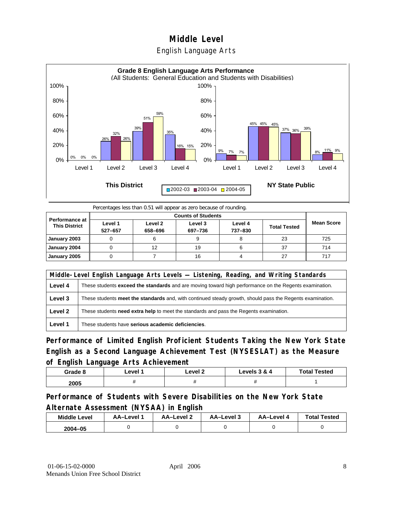#### English Language Arts



Percentages less than 0.51 will appear as zero because of rounding.

|                                               |                    | <b>Counts of Students</b> |                    |                    |                     |                   |  |  |  |
|-----------------------------------------------|--------------------|---------------------------|--------------------|--------------------|---------------------|-------------------|--|--|--|
| <b>Performance at</b><br><b>This District</b> | Level 1<br>527-657 | Level 2<br>658-696        | Level 3<br>697-736 | Level 4<br>737-830 | <b>Total Tested</b> | <b>Mean Score</b> |  |  |  |
| January 2003                                  |                    |                           |                    |                    | 23                  | 725               |  |  |  |
| January 2004                                  |                    | 12                        | 19                 |                    | 37                  | 714               |  |  |  |
| January 2005                                  |                    |                           | 16                 |                    | 27                  | 717               |  |  |  |

|         | Middle-Level English Language Arts Levels — Listening, Reading, and Writing Standards                     |  |  |  |  |
|---------|-----------------------------------------------------------------------------------------------------------|--|--|--|--|
| Level 4 | These students exceed the standards and are moving toward high performance on the Regents examination.    |  |  |  |  |
| Level 3 | These students meet the standards and, with continued steady growth, should pass the Regents examination. |  |  |  |  |
| Level 2 | These students need extra help to meet the standards and pass the Regents examination.                    |  |  |  |  |
| Level 1 | These students have serious academic deficiencies.                                                        |  |  |  |  |

**Performance of Limited English Proficient Students Taking the New York State English as a Second Language Achievement Test (NYSESLAT) as the Measure of English Language Arts Achievement**

| Grade 8 | ∟evel ∶ | Level 2 | Levels 3 & 4 | <b>Total Tested</b> |
|---------|---------|---------|--------------|---------------------|
| 2005    |         |         |              |                     |

**Performance of Students with Severe Disabilities on the New York State Alternate Assessment (NYSAA) in English** 

| <b>Middle Level</b> | AA-Level | <b>AA-Level 2</b> | AA-Level 3 | AA–Level 4 | <b>Total Tested</b> |
|---------------------|----------|-------------------|------------|------------|---------------------|
| $2004 - 05$         |          |                   |            |            |                     |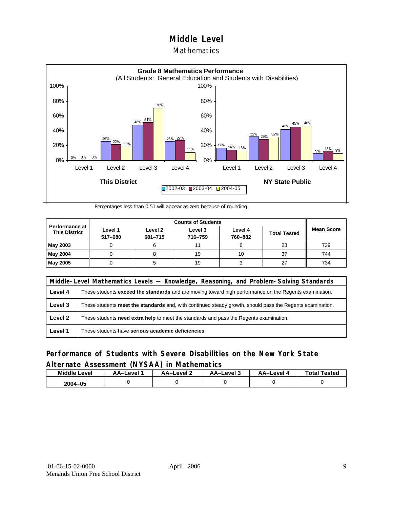#### **Mathematics**



Percentages less than 0.51 will appear as zero because of rounding.

| <b>Performance at I</b><br><b>This District</b> | Level 1<br>517-680 | Level 2<br>681-715 | Level 3<br>716-759 | Level 4<br>760-882 | <b>Total Tested</b> | <b>Mean Score</b> |
|-------------------------------------------------|--------------------|--------------------|--------------------|--------------------|---------------------|-------------------|
| May 2003                                        |                    |                    |                    |                    | 23                  | 739               |
| May 2004                                        |                    |                    | 19                 | 10                 | 37                  | 744               |
| May 2005                                        |                    |                    | 19                 |                    | 27                  | 734               |

|         | Middle-Level Mathematics Levels — Knowledge, Reasoning, and Problem-Solving Standards                         |  |  |  |  |
|---------|---------------------------------------------------------------------------------------------------------------|--|--|--|--|
| Level 4 | These students <b>exceed the standards</b> and are moving toward high performance on the Regents examination. |  |  |  |  |
| Level 3 | These students meet the standards and, with continued steady growth, should pass the Regents examination.     |  |  |  |  |
| Level 2 | These students need extra help to meet the standards and pass the Regents examination.                        |  |  |  |  |
| Level 1 | These students have serious academic deficiencies.                                                            |  |  |  |  |

#### **Performance of Students with Severe Disabilities on the New York State Alternate Assessment (NYSAA) in Mathematics**

| <b>Middle Level</b> | AA–Level | <b>AA-Level 2</b> | AA-Level 3 | AA-Level 4 | <b>Total Tested</b> |
|---------------------|----------|-------------------|------------|------------|---------------------|
| 2004-05             |          |                   |            |            |                     |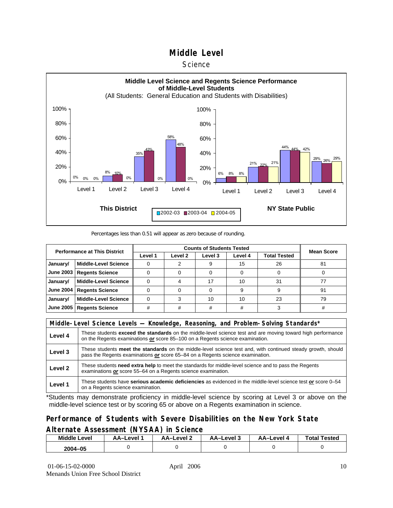#### **Science**



Percentages less than 0.51 will appear as zero because of rounding.

| <b>Performance at This District</b> |                             |         | <b>Mean Score</b> |         |         |              |    |
|-------------------------------------|-----------------------------|---------|-------------------|---------|---------|--------------|----|
|                                     |                             | Level 1 | Level 2           | Level 3 | Level 4 | Total Tested |    |
| January/                            | <b>Middle-Level Science</b> |         |                   |         | 15      | 26           | 81 |
| <b>June 2003</b>                    | <b>Regents Science</b>      |         |                   |         |         |              |    |
| January/                            | <b>Middle-Level Science</b> |         |                   |         | 10      | 31           |    |
| <b>June 2004</b>                    | <b>Regents Science</b>      |         |                   |         |         | 9            | 91 |
| January/                            | <b>Middle-Level Science</b> |         |                   | 10      | 10      | 23           | 79 |
| <b>June 2005</b>                    | <b>Regents Science</b>      | #       |                   | #       |         |              |    |

|         | Middle-Level Science Levels — Knowledge, Reasoning, and Problem-Solving Standards*                                                                                                                  |  |  |  |  |
|---------|-----------------------------------------------------------------------------------------------------------------------------------------------------------------------------------------------------|--|--|--|--|
| Level 4 | These students <b>exceed the standards</b> on the middle-level science test and are moving toward high performance<br>on the Regents examinations or score 85-100 on a Regents science examination. |  |  |  |  |
| Level 3 | These students meet the standards on the middle-level science test and, with continued steady growth, should<br>pass the Regents examinations or score 65–84 on a Regents science examination.      |  |  |  |  |
| Level 2 | These students need extra help to meet the standards for middle-level science and to pass the Regents<br>examinations or score 55-64 on a Regents science examination.                              |  |  |  |  |
| Level 1 | These students have serious academic deficiencies as evidenced in the middle-level science test or score 0-54<br>on a Regents science examination.                                                  |  |  |  |  |

\*Students may demonstrate proficiency in middle-level science by scoring at Level 3 or above on the middle-level science test or by scoring 65 or above on a Regents examination in science.

#### **Performance of Students with Severe Disabilities on the New York State Alternate Assessment (NYSAA) in Science**

| <b>Middle L</b><br>_evel | <b>\A–Level</b> | AA-Level 2 | AA-Level 3 | AA-Level 4 | Total<br>Tested |
|--------------------------|-----------------|------------|------------|------------|-----------------|
| 2004-05                  |                 |            |            |            |                 |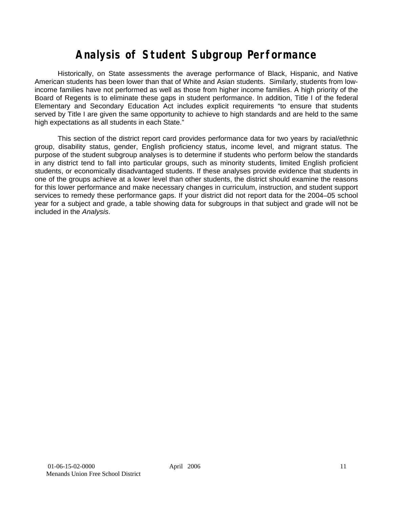## **Analysis of Student Subgroup Performance**

Historically, on State assessments the average performance of Black, Hispanic, and Native American students has been lower than that of White and Asian students. Similarly, students from lowincome families have not performed as well as those from higher income families. A high priority of the Board of Regents is to eliminate these gaps in student performance. In addition, Title I of the federal Elementary and Secondary Education Act includes explicit requirements "to ensure that students served by Title I are given the same opportunity to achieve to high standards and are held to the same high expectations as all students in each State."

This section of the district report card provides performance data for two years by racial/ethnic group, disability status, gender, English proficiency status, income level, and migrant status. The purpose of the student subgroup analyses is to determine if students who perform below the standards in any district tend to fall into particular groups, such as minority students, limited English proficient students, or economically disadvantaged students. If these analyses provide evidence that students in one of the groups achieve at a lower level than other students, the district should examine the reasons for this lower performance and make necessary changes in curriculum, instruction, and student support services to remedy these performance gaps. If your district did not report data for the 2004–05 school year for a subject and grade, a table showing data for subgroups in that subject and grade will not be included in the *Analysis*.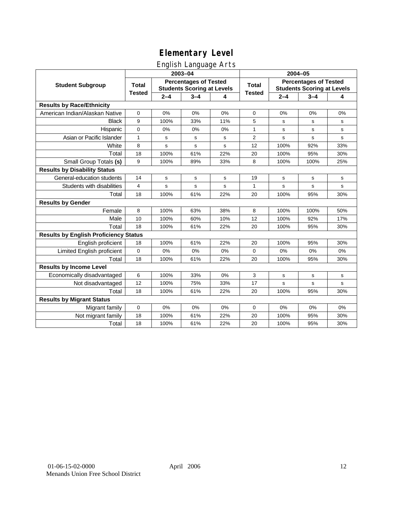### English Language Arts

|                                              |                                                                                   |             | ັ<br>2003-04 |     | 2004-05       |             |             |                                                                   |  |
|----------------------------------------------|-----------------------------------------------------------------------------------|-------------|--------------|-----|---------------|-------------|-------------|-------------------------------------------------------------------|--|
| <b>Student Subgroup</b>                      | <b>Percentages of Tested</b><br><b>Total</b><br><b>Students Scoring at Levels</b> |             |              |     | <b>Total</b>  |             |             | <b>Percentages of Tested</b><br><b>Students Scoring at Levels</b> |  |
|                                              | <b>Tested</b>                                                                     | $2 - 4$     | $3 - 4$      | 4   | <b>Tested</b> | $2 - 4$     | $3 - 4$     | 4                                                                 |  |
| <b>Results by Race/Ethnicity</b>             |                                                                                   |             |              |     |               |             |             |                                                                   |  |
| American Indian/Alaskan Native               | $\pmb{0}$                                                                         | 0%          | 0%           | 0%  | $\mathbf 0$   | 0%          | 0%          | 0%                                                                |  |
| <b>Black</b>                                 | 9                                                                                 | 100%        | 33%          | 11% | 5             | s           | s           | s                                                                 |  |
| Hispanic                                     | 0                                                                                 | 0%          | 0%           | 0%  | 1             | s           | s           | s                                                                 |  |
| Asian or Pacific Islander                    | $\mathbf{1}$                                                                      | s           | s            | s   | 2             | s           | $\mathbf s$ | $\mathbf s$                                                       |  |
| White                                        | 8                                                                                 | s           | $\mathbf s$  | s   | 12            | 100%        | 92%         | 33%                                                               |  |
| Total                                        | 18                                                                                | 100%        | 61%          | 22% | 20            | 100%        | 95%         | 30%                                                               |  |
| Small Group Totals (s)                       | 9                                                                                 | 100%        | 89%          | 33% | 8             | 100%        | 100%        | 25%                                                               |  |
| <b>Results by Disability Status</b>          |                                                                                   |             |              |     |               |             |             |                                                                   |  |
| General-education students                   | 14                                                                                | s           | s            | s   | 19            | s           | s           | s                                                                 |  |
| Students with disabilities                   | 4                                                                                 | $\mathbf s$ | s            | s   | 1             | s           | $\mathbf s$ | $\mathbf s$                                                       |  |
| Total                                        | 18                                                                                | 100%        | 61%          | 22% | 20            | 100%        | 95%         | 30%                                                               |  |
| <b>Results by Gender</b>                     |                                                                                   |             |              |     |               |             |             |                                                                   |  |
| Female                                       | 8                                                                                 | 100%        | 63%          | 38% | 8             | 100%        | 100%        | 50%                                                               |  |
| Male                                         | 10                                                                                | 100%        | 60%          | 10% | 12            | 100%        | 92%         | 17%                                                               |  |
| Total                                        | 18                                                                                | 100%        | 61%          | 22% | 20            | 100%        | 95%         | 30%                                                               |  |
| <b>Results by English Proficiency Status</b> |                                                                                   |             |              |     |               |             |             |                                                                   |  |
| English proficient                           | 18                                                                                | 100%        | 61%          | 22% | 20            | 100%        | 95%         | 30%                                                               |  |
| Limited English proficient                   | 0                                                                                 | 0%          | 0%           | 0%  | $\Omega$      | 0%          | 0%          | 0%                                                                |  |
| Total                                        | 18                                                                                | 100%        | 61%          | 22% | 20            | 100%        | 95%         | 30%                                                               |  |
| <b>Results by Income Level</b>               |                                                                                   |             |              |     |               |             |             |                                                                   |  |
| Economically disadvantaged                   | 6                                                                                 | 100%        | 33%          | 0%  | 3             | s           | s           | s                                                                 |  |
| Not disadvantaged                            | 12                                                                                | 100%        | 75%          | 33% | 17            | $\mathbf s$ | $\mathbf s$ | $\mathbf s$                                                       |  |
| Total                                        | 18                                                                                | 100%        | 61%          | 22% | 20            | 100%        | 95%         | 30%                                                               |  |
| <b>Results by Migrant Status</b>             |                                                                                   |             |              |     |               |             |             |                                                                   |  |
| Migrant family                               | $\mathbf 0$                                                                       | 0%          | 0%           | 0%  | $\mathbf 0$   | 0%          | 0%          | 0%                                                                |  |
| Not migrant family                           | 18                                                                                | 100%        | 61%          | 22% | 20            | 100%        | 95%         | 30%                                                               |  |
| Total                                        | 18                                                                                | 100%        | 61%          | 22% | 20            | 100%        | 95%         | 30%                                                               |  |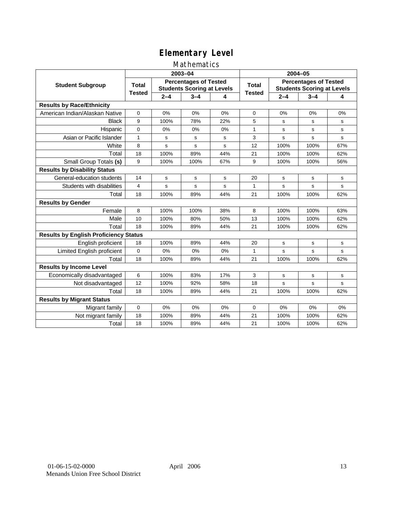#### Mathematics

|                                              |               |                                                                   | 2003-04 |     | 2004-05       |             |                                                                   |             |  |
|----------------------------------------------|---------------|-------------------------------------------------------------------|---------|-----|---------------|-------------|-------------------------------------------------------------------|-------------|--|
| <b>Student Subgroup</b>                      | <b>Total</b>  | <b>Percentages of Tested</b><br><b>Students Scoring at Levels</b> |         |     | Total         |             | <b>Percentages of Tested</b><br><b>Students Scoring at Levels</b> |             |  |
|                                              | <b>Tested</b> | $2 - 4$                                                           | $3 - 4$ | 4   | <b>Tested</b> | $2 - 4$     | $3 - 4$                                                           | 4           |  |
| <b>Results by Race/Ethnicity</b>             |               |                                                                   |         |     |               |             |                                                                   |             |  |
| American Indian/Alaskan Native               | $\mathbf 0$   | 0%                                                                | 0%      | 0%  | 0             | 0%          | 0%                                                                | 0%          |  |
| <b>Black</b>                                 | 9             | 100%                                                              | 78%     | 22% | 5             | s           | s                                                                 | s           |  |
| Hispanic                                     | $\mathbf 0$   | 0%                                                                | 0%      | 0%  | 1             | s           | s                                                                 | s           |  |
| Asian or Pacific Islander                    | 1             | s                                                                 | s       | s   | 3             | s           | s                                                                 | s           |  |
| White                                        | 8             | s                                                                 | s       | S   | 12            | 100%        | 100%                                                              | 67%         |  |
| Total                                        | 18            | 100%                                                              | 89%     | 44% | 21            | 100%        | 100%                                                              | 62%         |  |
| Small Group Totals (s)                       | 9             | 100%                                                              | 100%    | 67% | 9             | 100%        | 100%                                                              | 56%         |  |
| <b>Results by Disability Status</b>          |               |                                                                   |         |     |               |             |                                                                   |             |  |
| General-education students                   | 14            | s                                                                 | s       | s   | 20            | s           | s                                                                 | s           |  |
| Students with disabilities                   | 4             | s                                                                 | s       | s   | $\mathbf{1}$  | s           | s                                                                 | s           |  |
| Total                                        | 18            | 100%                                                              | 89%     | 44% | 21            | 100%        | 100%                                                              | 62%         |  |
| <b>Results by Gender</b>                     |               |                                                                   |         |     |               |             |                                                                   |             |  |
| Female                                       | 8             | 100%                                                              | 100%    | 38% | 8             | 100%        | 100%                                                              | 63%         |  |
| Male                                         | 10            | 100%                                                              | 80%     | 50% | 13            | 100%        | 100%                                                              | 62%         |  |
| Total                                        | 18            | 100%                                                              | 89%     | 44% | 21            | 100%        | 100%                                                              | 62%         |  |
| <b>Results by English Proficiency Status</b> |               |                                                                   |         |     |               |             |                                                                   |             |  |
| English proficient                           | 18            | 100%                                                              | 89%     | 44% | 20            | s           | s                                                                 | s           |  |
| Limited English proficient                   | $\mathbf 0$   | 0%                                                                | 0%      | 0%  | $\mathbf{1}$  | s           | s                                                                 | $\mathbf s$ |  |
| Total                                        | 18            | 100%                                                              | 89%     | 44% | 21            | 100%        | 100%                                                              | 62%         |  |
| <b>Results by Income Level</b>               |               |                                                                   |         |     |               |             |                                                                   |             |  |
| Economically disadvantaged                   | 6             | 100%                                                              | 83%     | 17% | 3             | $\mathbf s$ | $\mathbf s$                                                       | $\mathbf s$ |  |
| Not disadvantaged                            | 12            | 100%                                                              | 92%     | 58% | 18            | s           | s                                                                 | s           |  |
| Total                                        | 18            | 100%                                                              | 89%     | 44% | 21            | 100%        | 100%                                                              | 62%         |  |
| <b>Results by Migrant Status</b>             |               |                                                                   |         |     |               |             |                                                                   |             |  |
| Migrant family                               | $\mathbf 0$   | 0%                                                                | 0%      | 0%  | 0             | 0%          | 0%                                                                | 0%          |  |
| Not migrant family                           | 18            | 100%                                                              | 89%     | 44% | 21            | 100%        | 100%                                                              | 62%         |  |
| Total                                        | 18            | 100%                                                              | 89%     | 44% | 21            | 100%        | 100%                                                              | 62%         |  |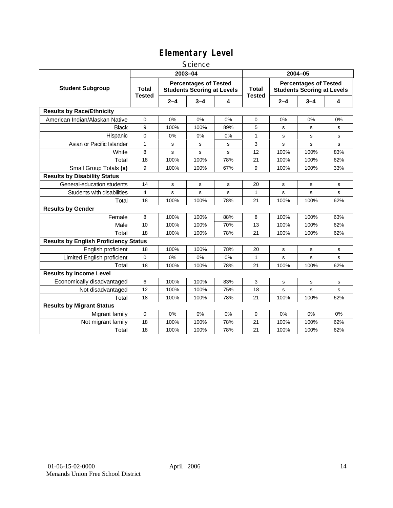#### **Science**

|                                              |                               |                                                                   | 2003-04     |     | 2004-05       |                                                                   |         |             |  |
|----------------------------------------------|-------------------------------|-------------------------------------------------------------------|-------------|-----|---------------|-------------------------------------------------------------------|---------|-------------|--|
| <b>Student Subgroup</b>                      | <b>Total</b><br><b>Tested</b> | <b>Percentages of Tested</b><br><b>Students Scoring at Levels</b> |             |     |               | <b>Percentages of Tested</b><br><b>Students Scoring at Levels</b> |         |             |  |
|                                              |                               | $2 - 4$                                                           | $3 - 4$     | 4   | <b>Tested</b> | $2 - 4$                                                           | $3 - 4$ | 4           |  |
| <b>Results by Race/Ethnicity</b>             |                               |                                                                   |             |     |               |                                                                   |         |             |  |
| American Indian/Alaskan Native               | $\mathbf 0$                   | 0%                                                                | 0%          | 0%  | 0             | 0%                                                                | 0%      | 0%          |  |
| <b>Black</b>                                 | 9                             | 100%                                                              | 100%        | 89% | 5             | s                                                                 | s       | s           |  |
| Hispanic                                     | 0                             | 0%                                                                | 0%          | 0%  | 1             | s                                                                 | s       | s           |  |
| Asian or Pacific Islander                    | $\mathbf{1}$                  | s                                                                 | s           | s   | 3             | s                                                                 | s       | $\mathbf s$ |  |
| White                                        | 8                             | s                                                                 | s           | s   | 12            | 100%                                                              | 100%    | 83%         |  |
| Total                                        | 18                            | 100%                                                              | 100%        | 78% | 21            | 100%                                                              | 100%    | 62%         |  |
| Small Group Totals (s)                       | 9                             | 100%                                                              | 100%        | 67% | 9             | 100%                                                              | 100%    | 33%         |  |
| <b>Results by Disability Status</b>          |                               |                                                                   |             |     |               |                                                                   |         |             |  |
| General-education students                   | 14                            | s                                                                 | s           | s   | 20            | s                                                                 | s       | s           |  |
| Students with disabilities                   | $\overline{4}$                | s                                                                 | $\mathbf s$ | s   | 1             | s                                                                 | s       | s           |  |
| Total                                        | 18                            | 100%                                                              | 100%        | 78% | 21            | 100%                                                              | 100%    | 62%         |  |
| <b>Results by Gender</b>                     |                               |                                                                   |             |     |               |                                                                   |         |             |  |
| Female                                       | 8                             | 100%                                                              | 100%        | 88% | 8             | 100%                                                              | 100%    | 63%         |  |
| Male                                         | 10                            | 100%                                                              | 100%        | 70% | 13            | 100%                                                              | 100%    | 62%         |  |
| Total                                        | 18                            | 100%                                                              | 100%        | 78% | 21            | 100%                                                              | 100%    | 62%         |  |
| <b>Results by English Proficiency Status</b> |                               |                                                                   |             |     |               |                                                                   |         |             |  |
| English proficient                           | 18                            | 100%                                                              | 100%        | 78% | 20            | s                                                                 | s       | s           |  |
| Limited English proficient                   | 0                             | 0%                                                                | 0%          | 0%  | $\mathbf{1}$  | s                                                                 | s       | $\mathbf s$ |  |
| Total                                        | 18                            | 100%                                                              | 100%        | 78% | 21            | 100%                                                              | 100%    | 62%         |  |
| <b>Results by Income Level</b>               |                               |                                                                   |             |     |               |                                                                   |         |             |  |
| Economically disadvantaged                   | 6                             | 100%                                                              | 100%        | 83% | 3             | s                                                                 | s       | s           |  |
| Not disadvantaged                            | 12                            | 100%                                                              | 100%        | 75% | 18            | s                                                                 | s       | s           |  |
| Total                                        | 18                            | 100%                                                              | 100%        | 78% | 21            | 100%                                                              | 100%    | 62%         |  |
| <b>Results by Migrant Status</b>             |                               |                                                                   |             |     |               |                                                                   |         |             |  |
| Migrant family                               | 0                             | 0%                                                                | 0%          | 0%  | 0             | 0%                                                                | 0%      | 0%          |  |
| Not migrant family                           | 18                            | 100%                                                              | 100%        | 78% | 21            | 100%                                                              | 100%    | 62%         |  |
| Total                                        | 18                            | 100%                                                              | 100%        | 78% | 21            | 100%                                                              | 100%    | 62%         |  |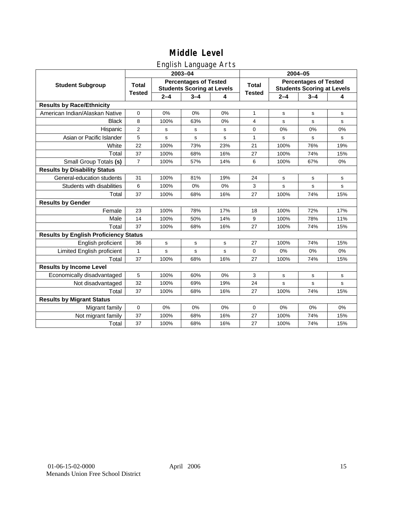### English Language Arts

|                                              |                |                                                                   | 2003-04     |     | 2004-05       |         |                                                                   |              |  |
|----------------------------------------------|----------------|-------------------------------------------------------------------|-------------|-----|---------------|---------|-------------------------------------------------------------------|--------------|--|
| <b>Student Subgroup</b>                      | <b>Total</b>   | <b>Percentages of Tested</b><br><b>Students Scoring at Levels</b> |             |     | <b>Total</b>  |         | <b>Percentages of Tested</b><br><b>Students Scoring at Levels</b> |              |  |
|                                              | <b>Tested</b>  | $2 - 4$                                                           | $3 - 4$     | 4   | <b>Tested</b> | $2 - 4$ | $3 - 4$                                                           | 4            |  |
| <b>Results by Race/Ethnicity</b>             |                |                                                                   |             |     |               |         |                                                                   |              |  |
| American Indian/Alaskan Native               | $\mathbf 0$    | 0%                                                                | 0%          | 0%  | $\mathbf{1}$  | s       | s                                                                 | s            |  |
| <b>Black</b>                                 | 8              | 100%                                                              | 63%         | 0%  | 4             | s       | $\mathbf s$                                                       | s            |  |
| Hispanic                                     | $\overline{2}$ | s                                                                 | s           | s   | 0             | 0%      | 0%                                                                | 0%           |  |
| Asian or Pacific Islander                    | 5              | s                                                                 | s           | s   | 1             | s       | s                                                                 | s            |  |
| White                                        | 22             | 100%                                                              | 73%         | 23% | 21            | 100%    | 76%                                                               | 19%          |  |
| Total                                        | 37             | 100%                                                              | 68%         | 16% | 27            | 100%    | 74%                                                               | 15%          |  |
| Small Group Totals (s)                       | $\overline{7}$ | 100%                                                              | 57%         | 14% | 6             | 100%    | 67%                                                               | 0%           |  |
| <b>Results by Disability Status</b>          |                |                                                                   |             |     |               |         |                                                                   |              |  |
| General-education students                   | 31             | 100%                                                              | 81%         | 19% | 24            | s       | s                                                                 | s            |  |
| Students with disabilities                   | 6              | 100%                                                              | 0%          | 0%  | 3             | s       | $\mathbf s$                                                       | $\mathbf s$  |  |
| Total                                        | 37             | 100%                                                              | 68%         | 16% | 27            | 100%    | 74%                                                               | 15%          |  |
| <b>Results by Gender</b>                     |                |                                                                   |             |     |               |         |                                                                   |              |  |
| Female                                       | 23             | 100%                                                              | 78%         | 17% | 18            | 100%    | 72%                                                               | 17%          |  |
| Male                                         | 14             | 100%                                                              | 50%         | 14% | 9             | 100%    | 78%                                                               | 11%          |  |
| Total                                        | 37             | 100%                                                              | 68%         | 16% | 27            | 100%    | 74%                                                               | 15%          |  |
| <b>Results by English Proficiency Status</b> |                |                                                                   |             |     |               |         |                                                                   |              |  |
| English proficient                           | 36             | s                                                                 | s           | s   | 27            | 100%    | 74%                                                               | 15%          |  |
| Limited English proficient                   | 1              | s                                                                 | $\mathbf s$ | s   | $\Omega$      | 0%      | 0%                                                                | 0%           |  |
| Total                                        | 37             | 100%                                                              | 68%         | 16% | 27            | 100%    | 74%                                                               | 15%          |  |
| <b>Results by Income Level</b>               |                |                                                                   |             |     |               |         |                                                                   |              |  |
| Economically disadvantaged                   | 5              | 100%                                                              | 60%         | 0%  | 3             | s       | s                                                                 | s            |  |
| Not disadvantaged                            | 32             | 100%                                                              | 69%         | 19% | 24            | s       | s                                                                 | $\mathsf{s}$ |  |
| Total                                        | 37             | 100%                                                              | 68%         | 16% | 27            | 100%    | 74%                                                               | 15%          |  |
| <b>Results by Migrant Status</b>             |                |                                                                   |             |     |               |         |                                                                   |              |  |
| Migrant family                               | $\mathbf 0$    | 0%                                                                | 0%          | 0%  | 0             | 0%      | 0%                                                                | 0%           |  |
| Not migrant family                           | 37             | 100%                                                              | 68%         | 16% | 27            | 100%    | 74%                                                               | 15%          |  |
| Total                                        | 37             | 100%                                                              | 68%         | 16% | 27            | 100%    | 74%                                                               | 15%          |  |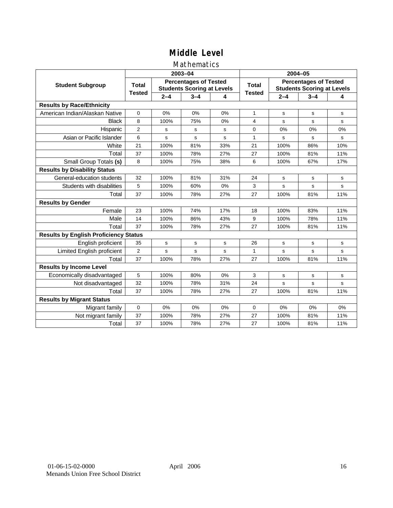#### Mathematics

|                                              |                |             | 2003-04                                                           |     | 2004-05       |                                                                   |             |             |  |
|----------------------------------------------|----------------|-------------|-------------------------------------------------------------------|-----|---------------|-------------------------------------------------------------------|-------------|-------------|--|
| <b>Student Subgroup</b>                      | <b>Total</b>   |             | <b>Percentages of Tested</b><br><b>Students Scoring at Levels</b> |     | Total         | <b>Percentages of Tested</b><br><b>Students Scoring at Levels</b> |             |             |  |
|                                              | <b>Tested</b>  | $2 - 4$     | $3 - 4$                                                           | 4   | <b>Tested</b> | $2 - 4$                                                           | $3 - 4$     | 4           |  |
| <b>Results by Race/Ethnicity</b>             |                |             |                                                                   |     |               |                                                                   |             |             |  |
| American Indian/Alaskan Native               | $\mathbf{0}$   | 0%          | 0%                                                                | 0%  | $\mathbf{1}$  | s                                                                 | s           | s           |  |
| <b>Black</b>                                 | 8              | 100%        | 75%                                                               | 0%  | 4             | s                                                                 | s           | s           |  |
| Hispanic                                     | $\overline{2}$ | s           | s                                                                 | s   | $\Omega$      | 0%                                                                | 0%          | 0%          |  |
| Asian or Pacific Islander                    | 6              | s           | s                                                                 | s   | $\mathbf{1}$  | s                                                                 | s           | s           |  |
| White                                        | 21             | 100%        | 81%                                                               | 33% | 21            | 100%                                                              | 86%         | 10%         |  |
| Total                                        | 37             | 100%        | 78%                                                               | 27% | 27            | 100%                                                              | 81%         | 11%         |  |
| Small Group Totals (s)                       | 8              | 100%        | 75%                                                               | 38% | 6             | 100%                                                              | 67%         | 17%         |  |
| <b>Results by Disability Status</b>          |                |             |                                                                   |     |               |                                                                   |             |             |  |
| General-education students                   | 32             | 100%        | 81%                                                               | 31% | 24            | s                                                                 | s           | s           |  |
| Students with disabilities                   | 5              | 100%        | 60%                                                               | 0%  | 3             | s                                                                 | s           | $\mathbf s$ |  |
| Total                                        | 37             | 100%        | 78%                                                               | 27% | 27            | 100%                                                              | 81%         | 11%         |  |
| <b>Results by Gender</b>                     |                |             |                                                                   |     |               |                                                                   |             |             |  |
| Female                                       | 23             | 100%        | 74%                                                               | 17% | 18            | 100%                                                              | 83%         | 11%         |  |
| Male                                         | 14             | 100%        | 86%                                                               | 43% | 9             | 100%                                                              | 78%         | 11%         |  |
| Total                                        | 37             | 100%        | 78%                                                               | 27% | 27            | 100%                                                              | 81%         | 11%         |  |
| <b>Results by English Proficiency Status</b> |                |             |                                                                   |     |               |                                                                   |             |             |  |
| English proficient                           | 35             | $\mathbf s$ | $\mathbf s$                                                       | s   | 26            | s                                                                 | $\mathbf s$ | $\mathbf s$ |  |
| Limited English proficient                   | $\overline{2}$ | s           | s                                                                 | s   | $\mathbf{1}$  | s                                                                 | s           | s           |  |
| Total                                        | 37             | 100%        | 78%                                                               | 27% | 27            | 100%                                                              | 81%         | 11%         |  |
| <b>Results by Income Level</b>               |                |             |                                                                   |     |               |                                                                   |             |             |  |
| Economically disadvantaged                   | 5              | 100%        | 80%                                                               | 0%  | 3             | s                                                                 | s           | s           |  |
| Not disadvantaged                            | 32             | 100%        | 78%                                                               | 31% | 24            | s                                                                 | s           | s           |  |
| Total                                        | 37             | 100%        | 78%                                                               | 27% | 27            | 100%                                                              | 81%         | 11%         |  |
| <b>Results by Migrant Status</b>             |                |             |                                                                   |     |               |                                                                   |             |             |  |
| Migrant family                               | 0              | 0%          | 0%                                                                | 0%  | 0             | 0%                                                                | 0%          | 0%          |  |
| Not migrant family                           | 37             | 100%        | 78%                                                               | 27% | 27            | 100%                                                              | 81%         | 11%         |  |
| Total                                        | 37             | 100%        | 78%                                                               | 27% | 27            | 100%                                                              | 81%         | 11%         |  |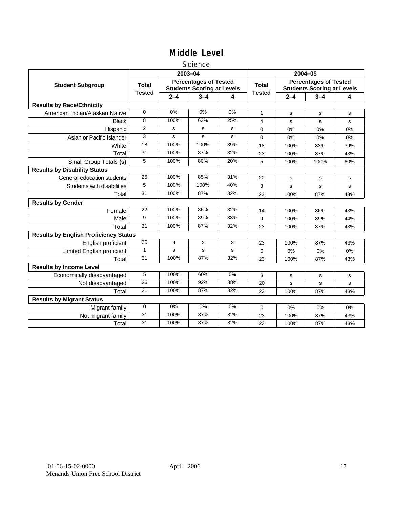#### **Science**

|                                              |                 |         | 2003-04                                                           |     | 2004-05                             |                                                                   |      |     |  |
|----------------------------------------------|-----------------|---------|-------------------------------------------------------------------|-----|-------------------------------------|-------------------------------------------------------------------|------|-----|--|
| <b>Student Subgroup</b>                      | <b>Total</b>    |         | <b>Percentages of Tested</b><br><b>Students Scoring at Levels</b> |     | <b>Total</b>                        | <b>Percentages of Tested</b><br><b>Students Scoring at Levels</b> |      |     |  |
|                                              | <b>Tested</b>   | $2 - 4$ | $3 - 4$                                                           | 4   | <b>Tested</b><br>$2 - 4$<br>$3 - 4$ |                                                                   |      | 4   |  |
| <b>Results by Race/Ethnicity</b>             |                 |         |                                                                   |     |                                     |                                                                   |      |     |  |
| American Indian/Alaskan Native               | $\mathbf 0$     | 0%      | 0%                                                                | 0%  | $\mathbf{1}$                        | s                                                                 | s    | s   |  |
| <b>Black</b>                                 | 8               | 100%    | 63%                                                               | 25% | 4                                   | s                                                                 | s    | s   |  |
| Hispanic                                     | $\overline{2}$  | s       | s                                                                 | s   | $\Omega$                            | 0%                                                                | 0%   | 0%  |  |
| Asian or Pacific Islander                    | 3               | s       | s                                                                 | s   | 0                                   | $0\%$                                                             | 0%   | 0%  |  |
| White                                        | 18              | 100%    | 100%                                                              | 39% | 18                                  | 100%                                                              | 83%  | 39% |  |
| Total                                        | 31              | 100%    | 87%                                                               | 32% | 23                                  | 100%                                                              | 87%  | 43% |  |
| Small Group Totals (s)                       | 5               | 100%    | 80%                                                               | 20% | 5                                   | 100%                                                              | 100% | 60% |  |
| <b>Results by Disability Status</b>          |                 |         |                                                                   |     |                                     |                                                                   |      |     |  |
| General-education students                   | 26              | 100%    | 85%                                                               | 31% | 20                                  | s                                                                 | s    | s   |  |
| Students with disabilities                   | 5               | 100%    | 100%                                                              | 40% | 3                                   | s                                                                 | s    | s   |  |
| Total                                        | 31              | 100%    | 87%                                                               | 32% | 23                                  | 100%                                                              | 87%  | 43% |  |
| <b>Results by Gender</b>                     |                 |         |                                                                   |     |                                     |                                                                   |      |     |  |
| Female                                       | 22              | 100%    | 86%                                                               | 32% | 14                                  | 100%                                                              | 86%  | 43% |  |
| Male                                         | 9               | 100%    | 89%                                                               | 33% | 9                                   | 100%                                                              | 89%  | 44% |  |
| Total                                        | 31              | 100%    | 87%                                                               | 32% | 23                                  | 100%                                                              | 87%  | 43% |  |
| <b>Results by English Proficiency Status</b> |                 |         |                                                                   |     |                                     |                                                                   |      |     |  |
| English proficient                           | $\overline{30}$ | s       | $\mathbf s$                                                       | s   | 23                                  | 100%                                                              | 87%  | 43% |  |
| Limited English proficient                   | $\mathbf{1}$    | s       | s                                                                 | s   | 0                                   | 0%                                                                | 0%   | 0%  |  |
| Total                                        | 31              | 100%    | 87%                                                               | 32% | 23                                  | 100%                                                              | 87%  | 43% |  |
| <b>Results by Income Level</b>               |                 |         |                                                                   |     |                                     |                                                                   |      |     |  |
| Economically disadvantaged                   | 5               | 100%    | 60%                                                               | 0%  | 3                                   | s                                                                 | s    | s   |  |
| Not disadvantaged                            | 26              | 100%    | 92%                                                               | 38% | 20                                  | s                                                                 | s    | s   |  |
| Total                                        | 31              | 100%    | 87%                                                               | 32% | 23                                  | 100%                                                              | 87%  | 43% |  |
| <b>Results by Migrant Status</b>             |                 |         |                                                                   |     |                                     |                                                                   |      |     |  |
| Migrant family                               | $\mathbf 0$     | 0%      | 0%                                                                | 0%  | 0                                   | 0%                                                                | 0%   | 0%  |  |
| Not migrant family                           | $\overline{31}$ | 100%    | 87%                                                               | 32% | 23                                  | 100%                                                              | 87%  | 43% |  |
| Total                                        | 31              | 100%    | 87%                                                               | 32% | 23                                  | 100%                                                              | 87%  | 43% |  |